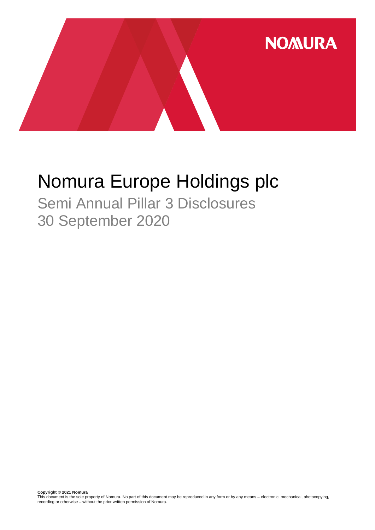

# Nomura Europe Holdings plc

Semi Annual Pillar 3 Disclosures 30 September 2020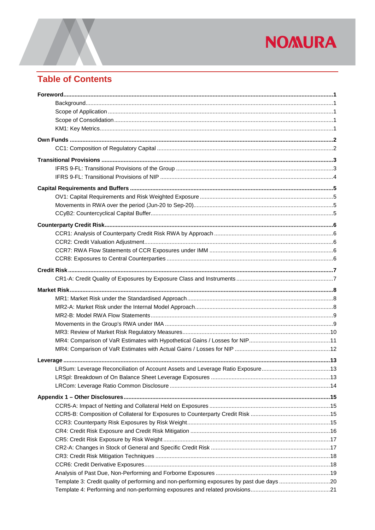## **Table of Contents**

| Template 3: Credit quality of performing and non-performing exposures by past due days 20 |  |
|-------------------------------------------------------------------------------------------|--|
|                                                                                           |  |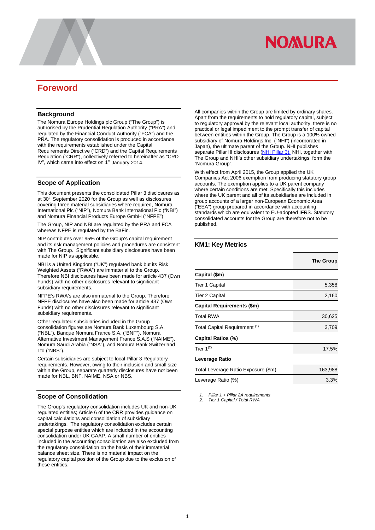## <span id="page-3-0"></span>**Foreword**

#### <span id="page-3-1"></span>**Background**

The Nomura Europe Holdings plc Group ("The Group") is authorised by the Prudential Regulation Authority ("PRA") and regulated by the Financial Conduct Authority ("FCA") and the PRA. The regulatory consolidation is produced in accordance with the requirements established under the Capital Requirements Directive ("CRD") and the Capital Requirements Regulation ("CRR"), collectively referred to hereinafter as "CRD IV", which came into effect on 1<sup>st</sup> January 2014.

#### <span id="page-3-2"></span>**Scope of Application**

This document presents the consolidated Pillar 3 disclosures as at 30<sup>th</sup> September 2020 for the Group as well as disclosures covering three material subsidiaries where required, Nomura International Plc ("NIP"), Nomura Bank International Plc ("NBI") and Nomura Financial Products Europe GmbH ("NFPE")

The Group, NIP and NBI are regulated by the PRA and FCA whereas NFPE is regulated by the BaFin.

NIP contributes over 95% of the Group's capital requirement and its risk management policies and procedures are consistent with The Group. Significant subsidiary disclosures have been made for NIP as applicable.

NBI is a United Kingdom ("UK") regulated bank but its Risk Weighted Assets ("RWA") are immaterial to the Group. Therefore NBI disclosures have been made for article 437 (Own Funds) with no other disclosures relevant to significant subsidiary requirements.

NFPE's RWA's are also immaterial to the Group. Therefore NFPE disclosures have also been made for article 437 (Own Funds) with no other disclosures relevant to significant subsidiary requirements.

Other regulated subsidiaries included in the Group consolidation figures are Nomura Bank Luxembourg S.A. ("NBL"), Banque Nomura France S.A. ("BNF"), Nomura Alternative Investment Management France S.A.S ("NAIME"), Nomura Saudi Arabia ("NSA"), and Nomura Bank Switzerland Ltd ("NBS").

Certain subsidiaries are subject to local Pillar 3 Regulatory requirements. However, owing to their inclusion and small size within the Group, separate quarterly disclosures have not been made for NBL, BNF, NAIME, NSA or NBS.

#### <span id="page-3-3"></span>**Scope of Consolidation**

The Group's regulatory consolidation includes UK and non-UK regulated entities; Article 6 of the CRR provides guidance on capital calculations and consolidation of subsidiary undertakings. The regulatory consolidation excludes certain special purpose entities which are included in the accounting consolidation under UK GAAP. A small number of entities included in the accounting consolidation are also excluded from the regulatory consolidation on the basis of their immaterial balance sheet size. There is no material impact on the regulatory capital position of the Group due to the exclusion of these entities.

All companies within the Group are limited by ordinary shares. Apart from the requirements to hold regulatory capital, subject to regulatory approval by the relevant local authority, there is no practical or legal impediment to the prompt transfer of capital between entities within the Group. The Group is a 100% owned subsidiary of Nomura Holdings Inc. ("NHI") (incorporated in Japan), the ultimate parent of the Group. NHI publishes separate Pillar III disclosures [\(NHI Pillar 3\)](https://www.nomuraholdings.com/investor/summary/highlight/ratio.html). NHI, together with The Group and NHI's other subsidiary undertakings, form the "Nomura Group".

With effect from April 2015, the Group applied the UK Companies Act 2006 exemption from producing statutory group accounts. The exemption applies to a UK parent company where certain conditions are met. Specifically this includes where the UK parent and all of its subsidiaries are included in group accounts of a larger non-European Economic Area ("EEA") group prepared in accordance with accounting standards which are equivalent to EU-adopted IFRS. Statutory consolidated accounts for the Group are therefore not to be published.

#### <span id="page-3-4"></span>**KM1: Key Metrics**

|                                     | The Group |
|-------------------------------------|-----------|
| Capital (\$m)                       |           |
| Tier 1 Capital                      | 5,358     |
| Tier 2 Capital                      | 2,160     |
| Capital Requirements (\$m)          |           |
| <b>Total RWA</b>                    | 30,625    |
| Total Capital Requirement (1)       | 3,709     |
| Capital Ratios (%)                  |           |
| Tier $1^{(2)}$                      | 17.5%     |
| Leverage Ratio                      |           |
| Total Leverage Ratio Exposure (\$m) | 163,988   |
| Leverage Ratio (%)                  | 3.3%      |

*1. Pillar 1 + Pillar 2A requirements*

*2. Tier 1 Capital / Total RWA*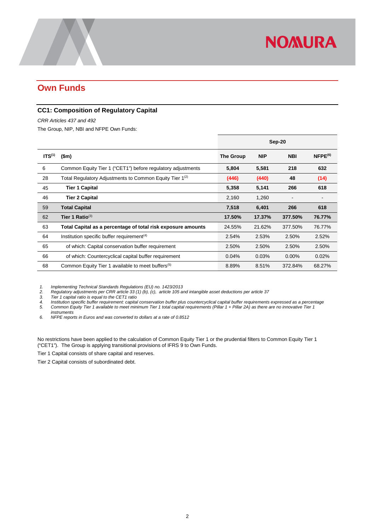## <span id="page-4-0"></span>**Own Funds**

#### <span id="page-4-1"></span>**CC1: Composition of Regulatory Capital**

*CRR Articles 437 and 492* 

The Group, NIP, NBI and NFPE Own Funds:

|                    |                                                                     | Sep-20    |            |            |              |
|--------------------|---------------------------------------------------------------------|-----------|------------|------------|--------------|
| ITS <sup>(1)</sup> | \$m\$                                                               | The Group | <b>NIP</b> | <b>NBI</b> | $NFPE^{(6)}$ |
| 6                  | Common Equity Tier 1 ("CET1") before regulatory adjustments         | 5,804     | 5,581      | 218        | 632          |
| 28                 | Total Regulatory Adjustments to Common Equity Tier 1 <sup>(2)</sup> | (446)     | (440)      | 48         | (14)         |
| 45                 | <b>Tier 1 Capital</b>                                               | 5,358     | 5,141      | 266        | 618          |
| 46                 | <b>Tier 2 Capital</b>                                               | 2,160     | 1,260      |            |              |
| 59                 | <b>Total Capital</b>                                                | 7,518     | 6,401      | 266        | 618          |
| 62                 | Tier 1 Ratio $^{(3)}$                                               | 17.50%    | 17.37%     | 377.50%    | 76.77%       |
| 63                 | Total Capital as a percentage of total risk exposure amounts        | 24.55%    | 21.62%     | 377.50%    | 76.77%       |
| 64                 | Institution specific buffer requirement <sup>(4)</sup>              | 2.54%     | 2.53%      | 2.50%      | 2.52%        |
| 65                 | of which: Capital conservation buffer requirement                   | 2.50%     | 2.50%      | 2.50%      | 2.50%        |
| 66                 | of which: Countercyclical capital buffer requirement                | 0.04%     | 0.03%      | $0.00\%$   | 0.02%        |
| 68                 | Common Equity Tier 1 available to meet buffers <sup>(5)</sup>       | 8.89%     | 8.51%      | 372.84%    | 68.27%       |

*1. Implementing Technical Standards Regulations (EU) no. 1423/2013*

*2. Regulatory adjustments per CRR article 33 (1) (b), (c), article 105 and intangible asset deductions per article 37*

*3. Tier 1 capital ratio is equal to the CET1 ratio 4. Institution specific buffer requirement: capital conservation buffer plus countercyclical capital buffer requirements expressed as a percentage 5. Common Equity Tier 1 available to meet minimum Tier 1 total capital requirements (Pillar 1 + Pillar 2A) as there are no innovative Tier 1 instruments*

*6. NFPE reports in Euros and was converted to dollars at a rate of 0.8512*

No restrictions have been applied to the calculation of Common Equity Tier 1 or the prudential filters to Common Equity Tier 1 ("CET1"). The Group is applying transitional provisions of IFRS 9 to Own Funds.

Tier 1 Capital consists of share capital and reserves.

Tier 2 Capital consists of subordinated debt.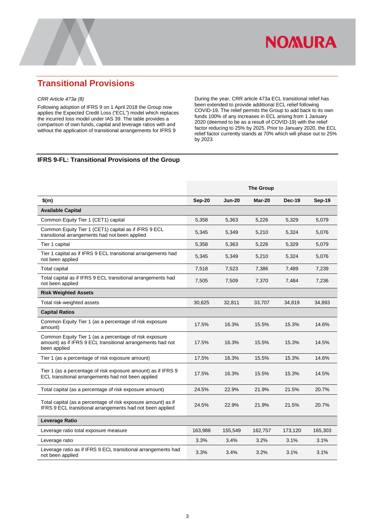

### <span id="page-5-0"></span>**Transitional Provisions**

#### *CRR Article 473a (8)*

Following adoption of IFRS 9 on 1 April 2018 the Group now applies the Expected Credit Loss ("ECL") model which replaces the incurred loss model under IAS 39. The table provides a comparison of own funds, capital and leverage ratios with and without the application of transitional arrangements for IFRS 9

During the year, CRR article 473a ECL transitional relief has been extended to provide additional ECL relief following COVID-19. The relief permits the Group to add back to its own funds 100% of any increases in ECL arising from 1 January 2020 (deemed to be as a result of COVID-19) with the relief factor reducing to 25% by 2025. Prior to January 2020, the ECL relief factor currently stands at 70% which will phase out to 25% by 2023.

#### <span id="page-5-1"></span>**IFRS 9-FL: Transitional Provisions of the Group**

|                                                                                                                                      |         |               | <b>The Group</b> |               |         |
|--------------------------------------------------------------------------------------------------------------------------------------|---------|---------------|------------------|---------------|---------|
| \$(m)                                                                                                                                | Sep-20  | <b>Jun-20</b> | Mar-20           | <b>Dec-19</b> | Sep-19  |
| <b>Available Capital</b>                                                                                                             |         |               |                  |               |         |
| Common Equity Tier 1 (CET1) capital                                                                                                  | 5,358   | 5,363         | 5,226            | 5,329         | 5,079   |
| Common Equity Tier 1 (CET1) capital as if IFRS 9 ECL<br>transitional arrangements had not been applied                               | 5,345   | 5,349         | 5,210            | 5,324         | 5,076   |
| Tier 1 capital                                                                                                                       | 5,358   | 5,363         | 5,226            | 5,329         | 5,079   |
| Tier 1 capital as if IFRS 9 ECL transitional arrangements had<br>not been applied                                                    | 5,345   | 5,349         | 5,210            | 5,324         | 5,076   |
| <b>Total capital</b>                                                                                                                 | 7,518   | 7,523         | 7,386            | 7,489         | 7,239   |
| Total capital as if IFRS 9 ECL transitional arrangements had<br>not been applied                                                     | 7,505   | 7,509         | 7,370            | 7,484         | 7,236   |
| <b>Risk Weighted Assets</b>                                                                                                          |         |               |                  |               |         |
| Total risk-weighted assets                                                                                                           | 30,625  | 32,811        | 33,707           | 34,819        | 34,893  |
| <b>Capital Ratios</b>                                                                                                                |         |               |                  |               |         |
| Common Equity Tier 1 (as a percentage of risk exposure<br>amount)                                                                    | 17.5%   | 16.3%         | 15.5%            | 15.3%         | 14.6%   |
| Common Equity Tier 1 (as a percentage of risk exposure<br>amount) as if IFRS 9 ECL transitional arrangements had not<br>been applied | 17.5%   | 16.3%         | 15.5%            | 15.3%         | 14.5%   |
| Tier 1 (as a percentage of risk exposure amount)                                                                                     | 17.5%   | 16.3%         | 15.5%            | 15.3%         | 14.6%   |
| Tier 1 (as a percentage of risk exposure amount) as if IFRS 9<br>ECL transitional arrangements had not been applied                  | 17.5%   | 16.3%         | 15.5%            | 15.3%         | 14.5%   |
| Total capital (as a percentage of risk exposure amount)                                                                              | 24.5%   | 22.9%         | 21.9%            | 21.5%         | 20.7%   |
| Total capital (as a percentage of risk exposure amount) as if<br>IFRS 9 ECL transitional arrangements had not been applied           | 24.5%   | 22.9%         | 21.9%            | 21.5%         | 20.7%   |
| <b>Leverage Ratio</b>                                                                                                                |         |               |                  |               |         |
| Leverage ratio total exposure measure                                                                                                | 163,988 | 155,549       | 162,757          | 173,120       | 165,303 |
| Leverage ratio                                                                                                                       | 3.3%    | 3.4%          | 3.2%             | 3.1%          | 3.1%    |
| Leverage ratio as if IFRS 9 ECL transitional arrangements had<br>not been applied                                                    | 3.3%    | 3.4%          | 3.2%             | 3.1%          | 3.1%    |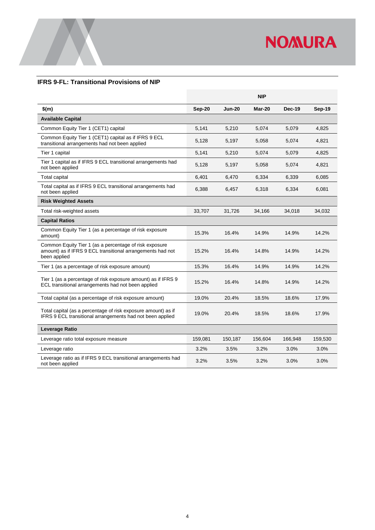

#### <span id="page-6-0"></span>**IFRS 9-FL: Transitional Provisions of NIP**

|                                                                                                                                      |               |               | <b>NIP</b> |               |               |
|--------------------------------------------------------------------------------------------------------------------------------------|---------------|---------------|------------|---------------|---------------|
| $$$ (m)                                                                                                                              | <b>Sep-20</b> | <b>Jun-20</b> | Mar-20     | <b>Dec-19</b> | <b>Sep-19</b> |
| <b>Available Capital</b>                                                                                                             |               |               |            |               |               |
| Common Equity Tier 1 (CET1) capital                                                                                                  | 5,141         | 5,210         | 5,074      | 5,079         | 4,825         |
| Common Equity Tier 1 (CET1) capital as if IFRS 9 ECL<br>transitional arrangements had not been applied                               | 5,128         | 5,197         | 5,058      | 5,074         | 4,821         |
| Tier 1 capital                                                                                                                       | 5,141         | 5,210         | 5,074      | 5,079         | 4,825         |
| Tier 1 capital as if IFRS 9 ECL transitional arrangements had<br>not been applied                                                    | 5,128         | 5,197         | 5,058      | 5,074         | 4,821         |
| <b>Total capital</b>                                                                                                                 | 6,401         | 6,470         | 6,334      | 6,339         | 6,085         |
| Total capital as if IFRS 9 ECL transitional arrangements had<br>not been applied                                                     | 6,388         | 6,457         | 6,318      | 6,334         | 6,081         |
| <b>Risk Weighted Assets</b>                                                                                                          |               |               |            |               |               |
| Total risk-weighted assets                                                                                                           | 33,707        | 31,726        | 34,166     | 34,018        | 34,032        |
| <b>Capital Ratios</b>                                                                                                                |               |               |            |               |               |
| Common Equity Tier 1 (as a percentage of risk exposure<br>amount)                                                                    | 15.3%         | 16.4%         | 14.9%      | 14.9%         | 14.2%         |
| Common Equity Tier 1 (as a percentage of risk exposure<br>amount) as if IFRS 9 ECL transitional arrangements had not<br>been applied | 15.2%         | 16.4%         | 14.8%      | 14.9%         | 14.2%         |
| Tier 1 (as a percentage of risk exposure amount)                                                                                     | 15.3%         | 16.4%         | 14.9%      | 14.9%         | 14.2%         |
| Tier 1 (as a percentage of risk exposure amount) as if IFRS 9<br>ECL transitional arrangements had not been applied                  | 15.2%         | 16.4%         | 14.8%      | 14.9%         | 14.2%         |
| Total capital (as a percentage of risk exposure amount)                                                                              | 19.0%         | 20.4%         | 18.5%      | 18.6%         | 17.9%         |
| Total capital (as a percentage of risk exposure amount) as if<br>IFRS 9 ECL transitional arrangements had not been applied           | 19.0%         | 20.4%         | 18.5%      | 18.6%         | 17.9%         |
| <b>Leverage Ratio</b>                                                                                                                |               |               |            |               |               |
| Leverage ratio total exposure measure                                                                                                | 159,081       | 150,187       | 156,604    | 166,948       | 159,530       |
| Leverage ratio                                                                                                                       | 3.2%          | 3.5%          | 3.2%       | 3.0%          | 3.0%          |
| Leverage ratio as if IFRS 9 ECL transitional arrangements had<br>not been applied                                                    | 3.2%          | 3.5%          | 3.2%       | 3.0%          | 3.0%          |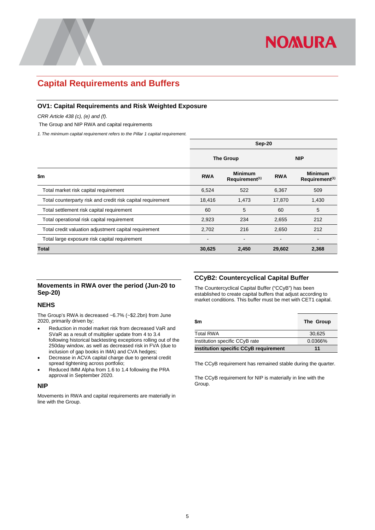

### <span id="page-7-0"></span>**Capital Requirements and Buffers**

#### <span id="page-7-1"></span>**OV1: Capital Requirements and Risk Weighted Exposure**

*CRR Article 438 (c), (e) and (f).*

The Group and NIP RWA and capital requirements

*1. The minimum capital requirement refers to the Pillar 1 capital requirement.*

|                                                             | Sep-20           |                                              |                          |                                              |
|-------------------------------------------------------------|------------------|----------------------------------------------|--------------------------|----------------------------------------------|
|                                                             | <b>The Group</b> |                                              | <b>NIP</b>               |                                              |
| \$m                                                         | <b>RWA</b>       | <b>Minimum</b><br>Requirement <sup>(1)</sup> | <b>RWA</b>               | <b>Minimum</b><br>Requirement <sup>(1)</sup> |
| Total market risk capital requirement                       | 6,524            | 522                                          | 6,367                    | 509                                          |
| Total counterparty risk and credit risk capital requirement | 18,416           | 1,473                                        | 17,870                   | 1,430                                        |
| Total settlement risk capital requirement                   | 60               | 5                                            | 60                       | 5                                            |
| Total operational risk capital requirement                  | 2,923            | 234                                          | 2,655                    | 212                                          |
| Total credit valuation adjustment capital requirement       | 2,702            | 216                                          | 2,650                    | 212                                          |
| Total large exposure risk capital requirement               | ۰                | $\overline{\phantom{0}}$                     | $\overline{\phantom{a}}$ | $\overline{\phantom{a}}$                     |
| Total                                                       | 30,625           | 2,450                                        | 29,602                   | 2,368                                        |

#### <span id="page-7-2"></span>**Movements in RWA over the period (Jun-20 to Sep-20)**

#### **NEHS**

The Group's RWA is decreased ~6.7% (~\$2.2bn) from June 2020, primarily driven by;

- Reduction in model market risk from decreased VaR and SVaR as a result of multiplier update from 4 to 3.4 following historical backtesting exceptions rolling out of the 250day window, as well as decreased risk in FVA (due to inclusion of gap books in IMA) and CVA hedges;
- Decrease in ACVA capital charge due to general credit spread tightening across portfolio;
- Reduced IMM Alpha from 1.6 to 1.4 following the PRA approval in September 2020.

#### **NIP**

Movements in RWA and capital requirements are materially in line with the Group.

#### <span id="page-7-3"></span>**CCyB2: Countercyclical Capital Buffer**

The Countercyclical Capital Buffer ("CCyB") has been established to create capital buffers that adjust according to market conditions. This buffer must be met with CET1 capital.

| \$m                                          | The Group |
|----------------------------------------------|-----------|
| <b>Total RWA</b>                             | 30.625    |
| Institution specific CCyB rate               | 0.0366%   |
| <b>Institution specific CCyB requirement</b> | 11        |

The CCyB requirement has remained stable during the quarter.

The CCyB requirement for NIP is materially in line with the Group.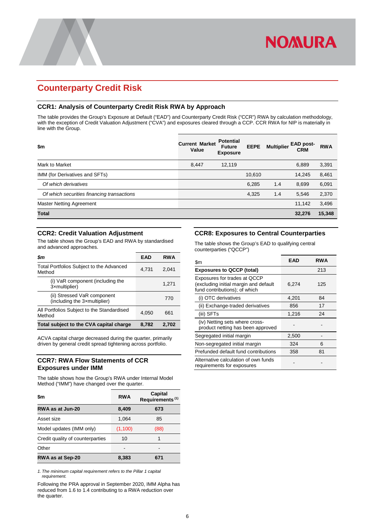## <span id="page-8-0"></span>**Counterparty Credit Risk**

#### <span id="page-8-1"></span>**CCR1: Analysis of Counterparty Credit Risk RWA by Approach**

The table provides the Group's Exposure at Default ("EAD") and Counterparty Credit Risk ("CCR") RWA by calculation methodology, with the exception of Credit Valuation Adjustment ("CVA") and exposures cleared through a CCP. CCR RWA for NIP is materially in line with the Group.

| \$m                                        | <b>Current Market</b><br>Value | <b>Potential</b><br><b>Future</b><br><b>Exposure</b> | <b>EEPE</b> | <b>Multiplier</b> | <b>EAD post-</b><br><b>CRM</b> | <b>RWA</b> |
|--------------------------------------------|--------------------------------|------------------------------------------------------|-------------|-------------------|--------------------------------|------------|
| Mark to Market                             | 8,447                          | 12.119                                               |             |                   | 6,889                          | 3,391      |
| IMM (for Derivatives and SFTs)             |                                |                                                      | 10,610      |                   | 14.245                         | 8,461      |
| Of which derivatives                       |                                |                                                      | 6,285       | 1.4               | 8,699                          | 6,091      |
| Of which securities financing transactions |                                |                                                      | 4,325       | 1.4               | 5,546                          | 2,370      |
| Master Netting Agreement                   |                                |                                                      |             |                   | 11,142                         | 3,496      |
| <b>Total</b>                               |                                |                                                      |             |                   | 32,276                         | 15,348     |

#### <span id="page-8-2"></span>**CCR2: Credit Valuation Adjustment**

The table shows the Group's EAD and RWA by standardised and advanced approaches.

| Sm                                                          | EAD   | <b>RWA</b> |
|-------------------------------------------------------------|-------|------------|
| Total Portfolios Subject to the Advanced<br>Method          | 4,731 | 2,041      |
| (i) VaR component (including the<br>3xmultiplier)           |       | 1,271      |
| (ii) Stressed VaR component<br>(including the 3xmultiplier) |       | 770        |
| All Portfolios Subject to the Standardised<br>Method        | 4.050 | 661        |
| Total subject to the CVA capital charge                     | 8,782 | 2,702      |

ACVA capital charge decreased during the quarter, primarily driven by general credit spread tightening across portfolio.

#### <span id="page-8-3"></span>**CCR7: RWA Flow Statements of CCR Exposures under IMM**

The table shows how the Group's RWA under Internal Model Method ("IMM") have changed over the quarter.

| \$m                              | <b>RWA</b> | Capital<br>Requirements <sup>(1)</sup> |
|----------------------------------|------------|----------------------------------------|
| RWA as at Jun-20                 | 8,409      | 673                                    |
| Asset size                       | 1.064      | 85                                     |
| Model updates (IMM only)         | (1,100)    | (88)                                   |
| Credit quality of counterparties | 10         |                                        |
| Other                            |            |                                        |
| RWA as at Sep-20                 | 8,383      | 671                                    |

*1. The minimum capital requirement refers to the Pillar 1 capital requirement.*

Following the PRA approval in September 2020, IMM Alpha has reduced from 1.6 to 1.4 contributing to a RWA reduction over the quarter.

#### <span id="page-8-4"></span>**CCR8: Exposures to Central Counterparties**

**NOMURA** 

The table shows the Group's EAD to qualifying central counterparties ("QCCP")

| \$m                                                                                                    | EAD   | <b>RWA</b> |
|--------------------------------------------------------------------------------------------------------|-------|------------|
| <b>Exposures to QCCP (total)</b>                                                                       |       | 213        |
| Exposures for trades at QCCP<br>(excluding initial margin and default<br>fund contributions); of which | 6.274 | 125        |
| (i) OTC derivatives                                                                                    | 4,201 | 84         |
| (ii) Exchange-traded derivatives                                                                       | 856   | 17         |
| (iii) SFTs                                                                                             | 1,216 | 24         |
| (iv) Netting sets where cross-<br>product netting has been approved                                    |       |            |
| Segregated initial margin                                                                              | 2,500 |            |
| Non-segregated initial margin                                                                          | 324   | 6          |
| Prefunded default fund contributions                                                                   | 358   | 81         |
| Alternative calculation of own funds<br>requirements for exposures                                     |       |            |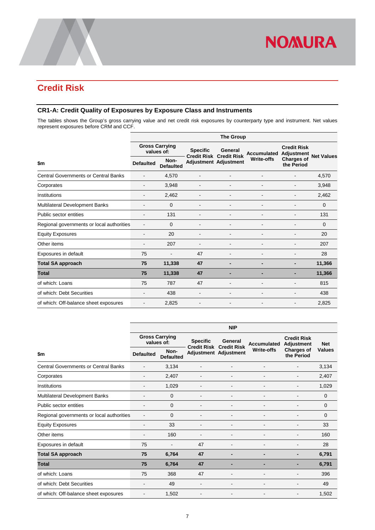

## <span id="page-9-0"></span>**Credit Risk**

#### <span id="page-9-1"></span>**CR1-A: Credit Quality of Exposures by Exposure Class and Instruments**

The tables shows the Group's gross carrying value and net credit risk exposures by counterparty type and instrument. Net values represent exposures before CRM and CCF.

|                                             | <b>The Group</b>                    |                              |                                                                |                          |                          |                                  |                   |  |
|---------------------------------------------|-------------------------------------|------------------------------|----------------------------------------------------------------|--------------------------|--------------------------|----------------------------------|-------------------|--|
|                                             | <b>Gross Carrying</b><br>values of: |                              | <b>Specific</b>                                                | General                  | Accumulated              | <b>Credit Risk</b><br>Adjustment | <b>Net Values</b> |  |
| \$m                                         | <b>Defaulted</b>                    | Non-<br><b>Defaulted</b>     | <b>Credit Risk Credit Risk</b><br><b>Adjustment Adjustment</b> |                          | <b>Write-offs</b>        | <b>Charges of</b><br>the Period  |                   |  |
| <b>Central Governments or Central Banks</b> |                                     | 4,570                        |                                                                |                          |                          |                                  | 4,570             |  |
| Corporates                                  |                                     | 3,948                        |                                                                |                          |                          |                                  | 3,948             |  |
| Institutions                                |                                     | 2,462                        |                                                                |                          |                          |                                  | 2,462             |  |
| Multilateral Development Banks              | $\overline{\phantom{a}}$            | 0                            |                                                                |                          |                          |                                  | 0                 |  |
| Public sector entities                      |                                     | 131                          |                                                                |                          |                          |                                  | 131               |  |
| Regional governments or local authorities   |                                     | 0                            |                                                                |                          |                          |                                  | $\Omega$          |  |
| <b>Equity Exposures</b>                     | -                                   | 20                           |                                                                |                          |                          |                                  | 20                |  |
| Other items                                 |                                     | 207                          |                                                                |                          |                          |                                  | 207               |  |
| Exposures in default                        | 75                                  | $\qquad \qquad \blacksquare$ | 47                                                             |                          |                          |                                  | 28                |  |
| <b>Total SA approach</b>                    | 75                                  | 11,338                       | 47                                                             | -                        |                          |                                  | 11,366            |  |
| <b>Total</b>                                | 75                                  | 11,338                       | 47                                                             |                          |                          |                                  | 11,366            |  |
| of which: Loans                             | 75                                  | 787                          | 47                                                             |                          |                          |                                  | 815               |  |
| of which: Debt Securities                   |                                     | 438                          |                                                                |                          |                          |                                  | 438               |  |
| of which: Off-balance sheet exposures       | $\overline{\phantom{a}}$            | 2,825                        | $\overline{\phantom{a}}$                                       | $\overline{\phantom{a}}$ | $\overline{\phantom{a}}$ | $\overline{\phantom{a}}$         | 2,825             |  |

|                                             | <b>NIP</b>                          |                          |                                       |                               |                   |                                  |               |  |
|---------------------------------------------|-------------------------------------|--------------------------|---------------------------------------|-------------------------------|-------------------|----------------------------------|---------------|--|
|                                             | <b>Gross Carrying</b><br>values of: |                          | <b>Specific</b><br><b>Credit Risk</b> | General<br><b>Credit Risk</b> | Accumulated       | <b>Credit Risk</b><br>Adjustment | <b>Net</b>    |  |
| \$m                                         | <b>Defaulted</b>                    | Non-<br><b>Defaulted</b> |                                       | Adjustment Adjustment         | <b>Write-offs</b> | <b>Charges of</b><br>the Period  | <b>Values</b> |  |
| <b>Central Governments or Central Banks</b> | $\overline{\phantom{a}}$            | 3,134                    |                                       |                               |                   |                                  | 3,134         |  |
| Corporates                                  | $\blacksquare$                      | 2,407                    |                                       | -                             |                   |                                  | 2,407         |  |
| Institutions                                |                                     | 1,029                    |                                       | -                             |                   |                                  | 1,029         |  |
| Multilateral Development Banks              |                                     | $\Omega$                 |                                       |                               |                   |                                  | $\Omega$      |  |
| Public sector entities                      |                                     | 0                        |                                       | ۰                             |                   |                                  | $\Omega$      |  |
| Regional governments or local authorities   |                                     | $\Omega$                 |                                       |                               |                   |                                  | $\Omega$      |  |
| <b>Equity Exposures</b>                     |                                     | 33                       |                                       |                               |                   |                                  | 33            |  |
| Other items                                 |                                     | 160                      |                                       | -                             |                   |                                  | 160           |  |
| Exposures in default                        | 75                                  |                          | 47                                    |                               |                   |                                  | 28            |  |
| <b>Total SA approach</b>                    | 75                                  | 6,764                    | 47                                    | -                             | $\blacksquare$    | -                                | 6,791         |  |
| <b>Total</b>                                | 75                                  | 6,764                    | 47                                    | -                             |                   |                                  | 6,791         |  |
| of which: Loans                             | 75                                  | 368                      | 47                                    | -                             |                   |                                  | 396           |  |
| of which: Debt Securities                   |                                     | 49                       |                                       | $\overline{a}$                |                   |                                  | 49            |  |
| of which: Off-balance sheet exposures       |                                     | 1,502                    |                                       | -                             |                   |                                  | 1,502         |  |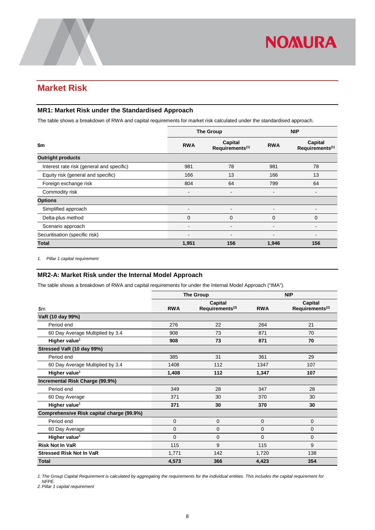## <span id="page-10-0"></span>**Market Risk**

#### <span id="page-10-1"></span>**MR1: Market Risk under the Standardised Approach**

The table shows a breakdown of RWA and capital requirements for market risk calculated under the standardised approach.

|                                           |                              | <b>The Group</b>                       | <b>NIP</b>               |                                        |
|-------------------------------------------|------------------------------|----------------------------------------|--------------------------|----------------------------------------|
| \$m                                       | <b>RWA</b>                   | Capital<br>Requirements <sup>(1)</sup> | <b>RWA</b>               | Capital<br>Requirements <sup>(1)</sup> |
| <b>Outright products</b>                  |                              |                                        |                          |                                        |
| Interest rate risk (general and specific) | 981                          | 78                                     | 981                      | 78                                     |
| Equity risk (general and specific)        | 166                          | 13                                     | 166                      | 13                                     |
| Foreign exchange risk                     | 804                          | 64                                     | 799                      | 64                                     |
| Commodity risk                            | -                            | $\blacksquare$                         |                          | $\overline{\phantom{0}}$               |
| <b>Options</b>                            |                              |                                        |                          |                                        |
| Simplified approach                       | $\qquad \qquad \blacksquare$ | $\blacksquare$                         | $\overline{\phantom{a}}$ | $\blacksquare$                         |
| Delta-plus method                         | $\Omega$                     | $\overline{0}$                         | $\Omega$                 | $\mathbf 0$                            |
| Scenario approach                         |                              |                                        |                          |                                        |
| Securitisation (specific risk)            |                              |                                        |                          | $\blacksquare$                         |
| <b>Total</b>                              | 1,951                        | 156                                    | 1,946                    | 156                                    |

<span id="page-10-2"></span>*1. Pillar 1 capital requirement*

#### **MR2-A: Market Risk under the Internal Model Approach**

The table shows a breakdown of RWA and capital requirements for under the Internal Model Approach ("IMA").

|                                           | <b>The Group</b> |                             |            | <b>NIP</b>                  |
|-------------------------------------------|------------------|-----------------------------|------------|-----------------------------|
|                                           |                  | Capital                     |            | Capital                     |
| \$m\$                                     | <b>RWA</b>       | Requirements <sup>(2)</sup> | <b>RWA</b> | Requirements <sup>(2)</sup> |
| VaR (10 day 99%)                          |                  |                             |            |                             |
| Period end                                | 276              | 22                          | 264        | 21                          |
| 60 Day Average Multiplied by 3.4          | 908              | 73                          | 871        | 70                          |
| Higher value <sup>1</sup>                 | 908              | 73                          | 871        | 70                          |
| Stressed VaR (10 day 99%)                 |                  |                             |            |                             |
| Period end                                | 385              | 31                          | 361        | 29                          |
| 60 Day Average Multiplied by 3.4          | 1408             | 112                         | 1347       | 107                         |
| Higher value <sup>1</sup>                 | 1,408            | 112                         | 1,347      | 107                         |
| Incremental Risk Charge (99.9%)           |                  |                             |            |                             |
| Period end                                | 349              | 28                          | 347        | 28                          |
| 60 Day Average                            | 371              | 30                          | 370        | 30                          |
| Higher value <sup>1</sup>                 | 371              | 30                          | 370        | 30                          |
| Comprehensive Risk capital charge (99.9%) |                  |                             |            |                             |
| Period end                                | 0                | 0                           | 0          | 0                           |
| 60 Day Average                            | 0                | 0                           | 0          | $\overline{0}$              |
| Higher value <sup>1</sup>                 | $\Omega$         | 0                           | $\Omega$   | $\Omega$                    |
| <b>Risk Not In VaR</b>                    | 115              | 9                           | 115        | 9                           |
| <b>Stressed Risk Not In VaR</b>           | 1,771            | 142                         | 1,720      | 138                         |
| <b>Total</b>                              | 4,573            | 366                         | 4,423      | 354                         |

*1. The Group Capital Requirement is calculated by aggregating the requirements for the individual entities. This includes the capital requirement for* 

*NFPE. 2. Pillar 1 capital requirement*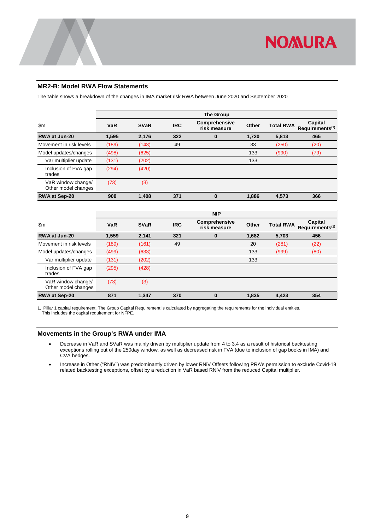

#### <span id="page-11-0"></span>**MR2-B: Model RWA Flow Statements**

The table shows a breakdown of the changes in IMA market risk RWA between June 2020 and September 2020

|                                           | <b>The Group</b> |             |            |                               |       |                  |                                        |
|-------------------------------------------|------------------|-------------|------------|-------------------------------|-------|------------------|----------------------------------------|
| $\mathsf{S}$ m                            | <b>VaR</b>       | <b>SVaR</b> | <b>IRC</b> | Comprehensive<br>risk measure | Other | <b>Total RWA</b> | Capital<br>Requirements <sup>(1)</sup> |
| RWA at Jun-20                             | 1,595            | 2,176       | 322        | $\bf{0}$                      | 1,720 | 5,813            | 465                                    |
| Movement in risk levels                   | (189)            | (143)       | 49         |                               | 33    | (250)            | (20)                                   |
| Model updates/changes                     | (498)            | (625)       |            |                               | 133   | (990)            | (79)                                   |
| Var multiplier update                     | (131)            | (202)       |            |                               | 133   |                  |                                        |
| Inclusion of FVA gap<br>trades            | (294)            | (420)       |            |                               |       |                  |                                        |
| VaR window change/<br>Other model changes | (73)             | (3)         |            |                               |       |                  |                                        |
| <b>RWA at Sep-20</b>                      | 908              | 1.408       | 371        | $\bf{0}$                      | 1,886 | 4.573            | 366                                    |

|                                           |       |             |            | <b>NIP</b>                    |       |                  |                                        |
|-------------------------------------------|-------|-------------|------------|-------------------------------|-------|------------------|----------------------------------------|
| $\mathsf{Sm}$                             | VaR   | <b>SVaR</b> | <b>IRC</b> | Comprehensive<br>risk measure | Other | <b>Total RWA</b> | Capital<br>Requirements <sup>(1)</sup> |
| RWA at Jun-20                             | 1,559 | 2,141       | 321        | $\bf{0}$                      | 1,682 | 5,703            | 456                                    |
| Movement in risk levels                   | (189) | (161)       | 49         |                               | 20    | (281)            | (22)                                   |
| Model updates/changes                     | (499) | (633)       |            |                               | 133   | (999)            | (80)                                   |
| Var multiplier update                     | (131) | (202)       |            |                               | 133   |                  |                                        |
| Inclusion of FVA gap<br>trades            | (295) | (428)       |            |                               |       |                  |                                        |
| VaR window change/<br>Other model changes | (73)  | (3)         |            |                               |       |                  |                                        |
| <b>RWA at Sep-20</b>                      | 871   | 1,347       | 370        | $\bf{0}$                      | 1,835 | 4,423            | 354                                    |

1. Pillar 1 capital requirement. The Group Capital Requirement is calculated by aggregating the requirements for the individual entities. This includes the capital requirement for NFPE.

#### <span id="page-11-1"></span>**Movements in the Group's RWA under IMA**

- Decrease in VaR and SVaR was mainly driven by multiplier update from 4 to 3.4 as a result of historical backtesting exceptions rolling out of the 250day window, as well as decreased risk in FVA (due to inclusion of gap books in IMA) and CVA hedges.
- Increase in Other ("RNIV") was predominantly driven by lower RNiV Offsets following PRA's permission to exclude Covid-19 related backtesting exceptions, offset by a reduction in VaR based RNiV from the reduced Capital multiplier.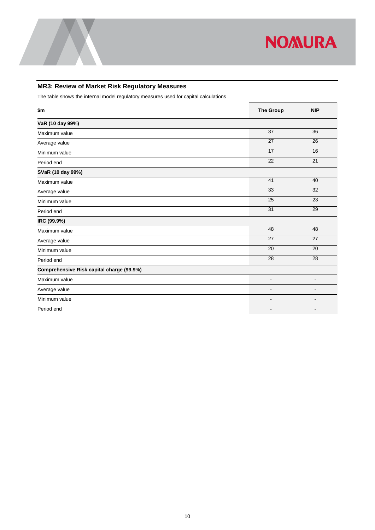

### <span id="page-12-0"></span>**MR3: Review of Market Risk Regulatory Measures**

The table shows the internal model regulatory measures used for capital calculations

| \$m                                       | <b>The Group</b>             | <b>NIP</b>               |
|-------------------------------------------|------------------------------|--------------------------|
| VaR (10 day 99%)                          |                              |                          |
| Maximum value                             | 37                           | 36                       |
| Average value                             | 27                           | 26                       |
| Minimum value                             | $\overline{17}$              | 16                       |
| Period end                                | 22                           | 21                       |
| SVaR (10 day 99%)                         |                              |                          |
| Maximum value                             | 41                           | 40                       |
| Average value                             | 33                           | 32                       |
| Minimum value                             | 25                           | 23                       |
| Period end                                | 31                           | 29                       |
| IRC (99.9%)                               |                              |                          |
| Maximum value                             | 48                           | 48                       |
| Average value                             | 27                           | 27                       |
| Minimum value                             | 20                           | 20                       |
| Period end                                | 28                           | 28                       |
| Comprehensive Risk capital charge (99.9%) |                              |                          |
| Maximum value                             | $\qquad \qquad \blacksquare$ | $\overline{\phantom{a}}$ |
| Average value                             | $\overline{\phantom{a}}$     | $\overline{\phantom{a}}$ |
| Minimum value                             |                              |                          |
| Period end                                |                              |                          |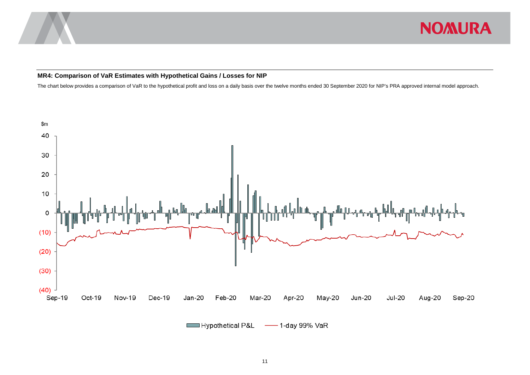

#### **MR4: Comparison of VaR Estimates with Hypothetical Gains / Losses for NIP**

The chart below provides a comparison of VaR to the hypothetical profit and loss on a daily basis over the twelve months ended 30 September 2020 for NIP's PRA approved internal model approach.

<span id="page-13-0"></span>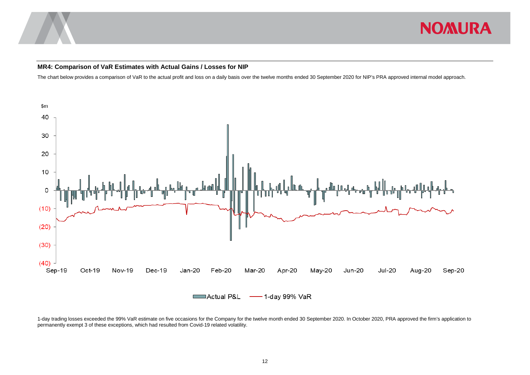

#### **MR4: Comparison of VaR Estimates with Actual Gains / Losses for NIP**

The chart below provides a comparison of VaR to the actual profit and loss on a daily basis over the twelve months ended 30 September 2020 for NIP's PRA approved internal model approach.



<span id="page-14-0"></span>1-day trading losses exceeded the 99% VaR estimate on five occasions for the Company for the twelve month ended 30 September 2020. In October 2020, PRA approved the firm's application to permanently exempt 3 of these exceptions, which had resulted from Covid-19 related volatility.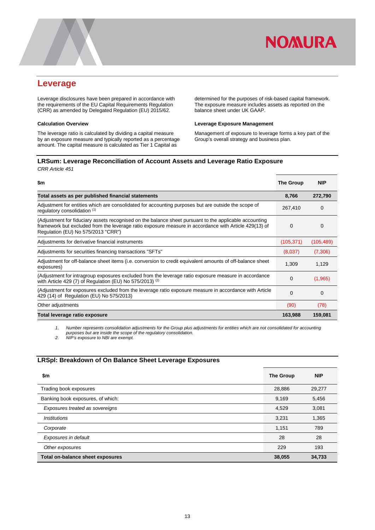

### <span id="page-15-0"></span>**Leverage**

Leverage disclosures have been prepared in accordance with the requirements of the EU Capital Requirements Regulation (CRR) as amended by Delegated Regulation (EU) 2015/62.

#### **Calculation Overview**

The leverage ratio is calculated by dividing a capital measure by an exposure measure and typically reported as a percentage amount. The capital measure is calculated as Tier 1 Capital as

determined for the purposes of risk-based capital framework. The exposure measure includes assets as reported on the balance sheet under UK GAAP.

#### **Leverage Exposure Management**

Management of exposure to leverage forms a key part of the Group's overall strategy and business plan.

#### <span id="page-15-1"></span>**LRSum: Leverage Reconciliation of Account Assets and Leverage Ratio Exposure** *CRR Article 451*

| \$m                                                                                                                                                                                                                                                   | The Group  | <b>NIP</b> |
|-------------------------------------------------------------------------------------------------------------------------------------------------------------------------------------------------------------------------------------------------------|------------|------------|
| Total assets as per published financial statements                                                                                                                                                                                                    | 8,766      | 272,790    |
| Adjustment for entities which are consolidated for accounting purposes but are outside the scope of<br>regulatory consolidation (1)                                                                                                                   | 267,410    | 0          |
| (Adjustment for fiduciary assets recognised on the balance sheet pursuant to the applicable accounting<br>framework but excluded from the leverage ratio exposure measure in accordance with Article 429(13) of<br>Regulation (EU) No 575/2013 "CRR") | 0          | 0          |
| Adjustments for derivative financial instruments                                                                                                                                                                                                      | (105, 371) | (105, 489) |
| Adjustments for securities financing transactions "SFTs"                                                                                                                                                                                              | (8,037)    | (7,306)    |
| Adjustment for off-balance sheet items (i.e. conversion to credit equivalent amounts of off-balance sheet<br>exposures)                                                                                                                               | 1,309      | 1,129      |
| (Adjustment for intragroup exposures excluded from the leverage ratio exposure measure in accordance<br>with Article 429 (7) of Regulation (EU) No 575/2013) $(2)$                                                                                    | 0          | (1,965)    |
| (Adjustment for exposures excluded from the leverage ratio exposure measure in accordance with Article<br>429 (14) of Regulation (EU) No 575/2013)                                                                                                    | 0          | 0          |
| Other adjustments                                                                                                                                                                                                                                     | (90)       | (78)       |
| Total leverage ratio exposure                                                                                                                                                                                                                         | 163,988    | 159,081    |

*1. Number represents consolidation adjustments for the Group plus adjustments for entities which are not consolidated for accounting purposes but are inside the scope of the regulatory consolidation.*

*2. NIP's exposure to NBI are exempt.*

#### <span id="page-15-2"></span>**LRSpl: Breakdown of On Balance Sheet Leverage Exposures**

| \$m                               | <b>The Group</b> | <b>NIP</b> |
|-----------------------------------|------------------|------------|
| Trading book exposures            | 28,886           | 29,277     |
| Banking book exposures, of which: | 9,169            | 5,456      |
| Exposures treated as sovereigns   | 4.529            | 3,081      |
| <b>Institutions</b>               | 3,231            | 1,365      |
| Corporate                         | 1,151            | 789        |
| Exposures in default              | 28               | 28         |
| Other exposures                   | 229              | 193        |
| Total on-balance sheet exposures  | 38,055           | 34,733     |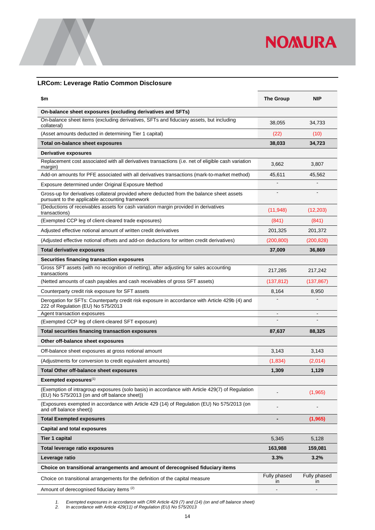

#### <span id="page-16-0"></span>**LRCom: Leverage Ratio Common Disclosure**

| \$m                                                                                                                                             | <b>The Group</b>   | <b>NIP</b>         |
|-------------------------------------------------------------------------------------------------------------------------------------------------|--------------------|--------------------|
| On-balance sheet exposures (excluding derivatives and SFTs)                                                                                     |                    |                    |
| On-balance sheet items (excluding derivatives, SFTs and fiduciary assets, but including<br>collateral)                                          | 38,055             | 34,733             |
| (Asset amounts deducted in determining Tier 1 capital)                                                                                          | (22)               | (10)               |
| Total on-balance sheet exposures                                                                                                                | 38,033             | 34,723             |
| Derivative exposures                                                                                                                            |                    |                    |
| Replacement cost associated with all derivatives transactions (i.e. net of eligible cash variation<br>margin)                                   | 3,662              | 3.807              |
| Add-on amounts for PFE associated with all derivatives transactions (mark-to-market method)                                                     | 45,611             | 45,562             |
| Exposure determined under Original Exposure Method                                                                                              |                    |                    |
| Gross-up for derivatives collateral provided where deducted from the balance sheet assets<br>pursuant to the applicable accounting framework    |                    |                    |
| (Deductions of receivables assets for cash variation margin provided in derivatives<br>transactions)                                            | (11, 948)          | (12, 203)          |
| (Exempted CCP leg of client-cleared trade exposures)                                                                                            | (841)              | (841)              |
| Adjusted effective notional amount of written credit derivatives                                                                                | 201,325            | 201,372            |
| (Adjusted effective notional offsets and add-on deductions for written credit derivatives)                                                      | (200, 800)         | (200, 828)         |
| Total derivative exposures                                                                                                                      | 37,009             | 36,869             |
| Securities financing transaction exposures                                                                                                      |                    |                    |
| Gross SFT assets (with no recognition of netting), after adjusting for sales accounting<br>transactions                                         | 217,285            | 217,242            |
| (Netted amounts of cash payables and cash receivables of gross SFT assets)                                                                      | (137,812)          | (137, 867)         |
| Counterparty credit risk exposure for SFT assets                                                                                                | 8,164              | 8,950              |
| Derogation for SFTs: Counterparty credit risk exposure in accordance with Article 429b (4) and<br>222 of Regulation (EU) No 575/2013            |                    |                    |
| Agent transaction exposures                                                                                                                     | $\blacksquare$     |                    |
| (Exempted CCP leg of client-cleared SFT exposure)                                                                                               |                    |                    |
| Total securities financing transaction exposures                                                                                                | 87,637             | 88,325             |
| Other off-balance sheet exposures                                                                                                               |                    |                    |
| Off-balance sheet exposures at gross notional amount                                                                                            | 3,143              | 3,143              |
| (Adjustments for conversion to credit equivalent amounts)                                                                                       | (1,834)            | (2,014)            |
| <b>Total Other off-balance sheet exposures</b>                                                                                                  | 1,309              | 1,129              |
| Exempted exposures <sup>(1)</sup>                                                                                                               |                    |                    |
| (Exemption of intragroup exposures (solo basis) in accordance with Article 429(7) of Regulation<br>(EU) No 575/2013 (on and off balance sheet)) |                    | (1,965)            |
| (Exposures exempted in accordance with Article 429 (14) of Regulation (EU) No 575/2013 (on<br>and off balance sheet))                           |                    |                    |
| <b>Total Exempted exposures</b>                                                                                                                 |                    | (1,965)            |
| Capital and total exposures                                                                                                                     |                    |                    |
| <b>Tier 1 capital</b>                                                                                                                           | 5,345              | 5,128              |
| Total leverage ratio exposures                                                                                                                  | 163,988            | 159,081            |
| Leverage ratio                                                                                                                                  | 3.3%               | 3.2%               |
| Choice on transitional arrangements and amount of derecognised fiduciary items                                                                  |                    |                    |
| Choice on transitional arrangements for the definition of the capital measure                                                                   | Fully phased<br>in | Fully phased<br>in |
| Amount of derecognised fiduciary items (2)                                                                                                      |                    |                    |

*1. Exempted exposures in accordance with CRR Article 429 (7) and (14) (on and off balance sheet)*

*2. In accordance with Article 429(11) of Regulation (EU) No 575/2013*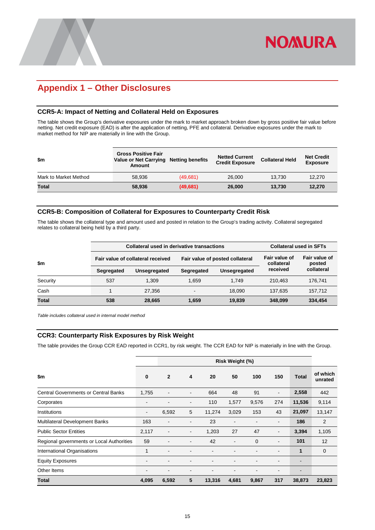## <span id="page-17-0"></span>**Appendix 1 – Other Disclosures**

#### <span id="page-17-1"></span>**CCR5-A: Impact of Netting and Collateral Held on Exposures**

The table shows the Group's derivative exposures under the mark to market approach broken down by gross positive fair value before netting. Net credit exposure (EAD) is after the application of netting, PFE and collateral. Derivative exposures under the mark to market method for NIP are materially in line with the Group.

| \$m                   | <b>Gross Positive Fair</b><br>Value or Net Carrying Netting benefits<br><b>Amount</b> |           | <b>Netted Current</b><br><b>Credit Exposure</b> | <b>Collateral Held</b> | <b>Net Credit</b><br><b>Exposure</b> |
|-----------------------|---------------------------------------------------------------------------------------|-----------|-------------------------------------------------|------------------------|--------------------------------------|
| Mark to Market Method | 58.936                                                                                | (49,681)  | 26,000                                          | 13.730                 | 12.270                               |
| Total                 | 58.936                                                                                | (49, 681) | 26,000                                          | 13.730                 | 12.270                               |

#### <span id="page-17-2"></span>**CCR5-B: Composition of Collateral for Exposures to Counterparty Credit Risk**

The table shows the collateral type and amount used and posted in relation to the Group's trading activity. Collateral segregated relates to collateral being held by a third party.

|              |            | Collateral used in derivative transactions | <b>Collateral used in SFTs</b> |                                 |                             |                         |
|--------------|------------|--------------------------------------------|--------------------------------|---------------------------------|-----------------------------|-------------------------|
| \$m\$        |            | Fair value of collateral received          |                                | Fair value of posted collateral | Fair value of<br>collateral | Fair value of<br>posted |
|              | Segregated | Unsegregated                               | Segregated                     | Unsegregated                    | received                    | collateral              |
| Security     | 537        | 1.309                                      | 1.659                          | 1.749                           | 210.463                     | 176.741                 |
| Cash         |            | 27.356                                     | $\overline{\phantom{0}}$       | 18.090                          | 137.635                     | 157,712                 |
| <b>Total</b> | 538        | 28,665                                     | 1.659                          | 19,839                          | 348,099                     | 334,454                 |

<span id="page-17-3"></span>*Table includes collateral used in internal model method*

#### **CCR3: Counterparty Risk Exposures by Risk Weight**

The table provides the Group CCR EAD reported in CCR1, by risk weight. The CCR EAD for NIP is materially in line with the Group.

|                                             | Risk Weight (%)          |                          |                          |        |                          |             |                          |                              |                     |  |  |
|---------------------------------------------|--------------------------|--------------------------|--------------------------|--------|--------------------------|-------------|--------------------------|------------------------------|---------------------|--|--|
| \$m                                         | $\bf{0}$                 | $\overline{2}$           | 4                        | 20     | 50                       | 100         | 150                      | <b>Total</b>                 | of which<br>unrated |  |  |
| <b>Central Governments or Central Banks</b> | 1,755                    |                          | $\blacksquare$           | 664    | 48                       | 91          | $\overline{\phantom{a}}$ | 2,558                        | 442                 |  |  |
| Corporates                                  | $\overline{\phantom{0}}$ |                          | $\overline{\phantom{0}}$ | 110    | 1,577                    | 9,576       | 274                      | 11,536                       | 9,114               |  |  |
| Institutions                                | $\overline{\phantom{a}}$ | 6,592                    | 5                        | 11,274 | 3,029                    | 153         | 43                       | 21,097                       | 13,147              |  |  |
| Multilateral Development Banks              | 163                      | $\overline{\phantom{a}}$ | $\overline{\phantom{a}}$ | 23     | $\blacksquare$           |             | $\overline{\phantom{a}}$ | 186                          | $\overline{2}$      |  |  |
| <b>Public Sector Entities</b>               | 2,117                    | $\overline{\phantom{a}}$ |                          | 1,203  | 27                       | 47          | $\blacksquare$           | 3,394                        | 1,105               |  |  |
| Regional governments or Local Authorities   | 59                       |                          |                          | 42     | $\overline{\phantom{0}}$ | $\mathbf 0$ | $\overline{\phantom{0}}$ | 101                          | 12                  |  |  |
| <b>International Organisations</b>          | $\mathbf{1}$             | $\overline{\phantom{a}}$ | -                        |        |                          |             |                          | 1                            | $\mathbf 0$         |  |  |
| <b>Equity Exposures</b>                     | $\overline{\phantom{0}}$ |                          |                          |        |                          |             |                          | $\qquad \qquad \blacksquare$ |                     |  |  |
| Other Items                                 | $\blacksquare$           |                          |                          |        |                          |             |                          | $\overline{\phantom{0}}$     |                     |  |  |
| <b>Total</b>                                | 4,095                    | 6,592                    | 5                        | 13,316 | 4,681                    | 9,867       | 317                      | 38,873                       | 23,823              |  |  |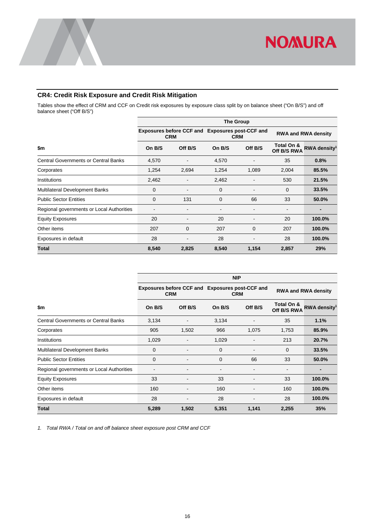### <span id="page-18-0"></span>**CR4: Credit Risk Exposure and Credit Risk Mitigation**

Tables show the effect of CRM and CCF on Credit risk exposures by exposure class split by on balance sheet ("On B/S") and off balance sheet ("Off B/S")

|                                             |             |                                                               |        | <b>The Group</b> |                            |                          |  |
|---------------------------------------------|-------------|---------------------------------------------------------------|--------|------------------|----------------------------|--------------------------|--|
|                                             |             | Exposures before CCF and Exposures post-CCF and<br><b>CRM</b> |        | <b>CRM</b>       | <b>RWA and RWA density</b> |                          |  |
| \$m                                         | On B/S      | Off B/S                                                       | On B/S | Off B/S          | Total On &<br>Off B/S RWA  | RWA density <sup>1</sup> |  |
| <b>Central Governments or Central Banks</b> | 4,570       |                                                               | 4,570  |                  | 35                         | 0.8%                     |  |
| Corporates                                  | 1,254       | 2,694                                                         | 1,254  | 1,089            | 2,004                      | 85.5%                    |  |
| Institutions                                | 2,462       |                                                               | 2,462  |                  | 530                        | 21.5%                    |  |
| <b>Multilateral Development Banks</b>       | $\mathbf 0$ |                                                               | 0      |                  | 0                          | 33.5%                    |  |
| <b>Public Sector Entities</b>               | 0           | 131                                                           | 0      | 66               | 33                         | 50.0%                    |  |
| Regional governments or Local Authorities   |             |                                                               |        |                  |                            | $\blacksquare$           |  |
| <b>Equity Exposures</b>                     | 20          |                                                               | 20     |                  | 20                         | 100.0%                   |  |
| Other items                                 | 207         | 0                                                             | 207    | 0                | 207                        | 100.0%                   |  |
| Exposures in default                        | 28          |                                                               | 28     |                  | 28                         | 100.0%                   |  |
| <b>Total</b>                                | 8,540       | 2,825                                                         | 8,540  | 1,154            | 2,857                      | 29%                      |  |

|                                             | <b>NIP</b> |                                                               |                          |            |                           |                            |  |  |  |  |  |
|---------------------------------------------|------------|---------------------------------------------------------------|--------------------------|------------|---------------------------|----------------------------|--|--|--|--|--|
|                                             |            | Exposures before CCF and Exposures post-CCF and<br><b>CRM</b> |                          | <b>CRM</b> |                           | <b>RWA and RWA density</b> |  |  |  |  |  |
| \$m                                         | On B/S     | Off B/S                                                       | On B/S                   | Off B/S    | Total On &<br>Off B/S RWA | RWA density <sup>1</sup>   |  |  |  |  |  |
| <b>Central Governments or Central Banks</b> | 3,134      |                                                               | 3,134                    |            | 35                        | 1.1%                       |  |  |  |  |  |
| Corporates                                  | 905        | 1,502                                                         | 966                      | 1,075      | 1,753                     | 85.9%                      |  |  |  |  |  |
| Institutions                                | 1,029      |                                                               | 1,029                    |            | 213                       | 20.7%                      |  |  |  |  |  |
| <b>Multilateral Development Banks</b>       | 0          |                                                               | 0                        |            | 0                         | 33.5%                      |  |  |  |  |  |
| <b>Public Sector Entities</b>               | 0          |                                                               | 0                        | 66         | 33                        | 50.0%                      |  |  |  |  |  |
| Regional governments or Local Authorities   | ٠          | ۰                                                             | $\overline{\phantom{a}}$ | ۰          | $\overline{\phantom{a}}$  | $\overline{\phantom{0}}$   |  |  |  |  |  |
| <b>Equity Exposures</b>                     | 33         |                                                               | 33                       |            | 33                        | 100.0%                     |  |  |  |  |  |
| Other items                                 | 160        |                                                               | 160                      |            | 160                       | 100.0%                     |  |  |  |  |  |
| Exposures in default                        | 28         |                                                               | 28                       |            | 28                        | 100.0%                     |  |  |  |  |  |
| Total                                       | 5,289      | 1,502                                                         | 5,351                    | 1,141      | 2,255                     | 35%                        |  |  |  |  |  |

*1. Total RWA / Total on and off balance sheet exposure post CRM and CCF*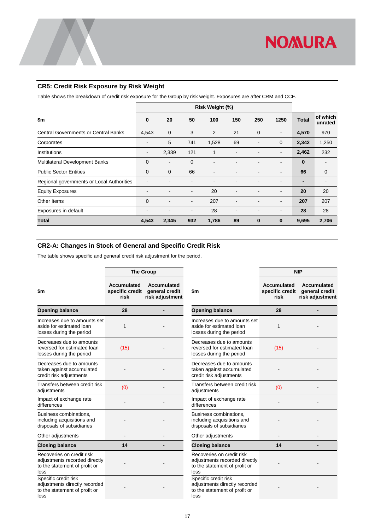#### <span id="page-19-0"></span>**CR5: Credit Risk Exposure by Risk Weight**

Table shows the breakdown of credit risk exposure for the Group by risk weight. Exposures are after CRM and CCF.

|                                             | Risk Weight (%)          |                          |                          |                          |                          |              |                          |                |                     |  |
|---------------------------------------------|--------------------------|--------------------------|--------------------------|--------------------------|--------------------------|--------------|--------------------------|----------------|---------------------|--|
| \$m                                         | 0                        | 20                       | 50                       | 100                      | 150                      | 250          | 1250                     | <b>Total</b>   | of which<br>unrated |  |
| <b>Central Governments or Central Banks</b> | 4,543                    | $\mathbf 0$              | 3                        | $\overline{2}$           | 21                       | $\mathbf{0}$ | $\blacksquare$           | 4,570          | 970                 |  |
| Corporates                                  | -                        | 5                        | 741                      | 1,528                    | 69                       |              | $\mathbf 0$              | 2,342          | 1,250               |  |
| Institutions                                | $\overline{\phantom{a}}$ | 2,339                    | 121                      | 1                        |                          |              | $\overline{\phantom{a}}$ | 2,462          | 232                 |  |
| Multilateral Development Banks              | $\mathbf 0$              | $\blacksquare$           | $\mathbf 0$              |                          |                          |              | $\overline{\phantom{a}}$ | 0              |                     |  |
| <b>Public Sector Entities</b>               | $\mathbf 0$              | $\mathbf 0$              | 66                       | $\overline{\phantom{0}}$ |                          |              | $\overline{\phantom{a}}$ | 66             | 0                   |  |
| Regional governments or Local Authorities   | $\blacksquare$           | $\overline{\phantom{a}}$ | $\overline{\phantom{0}}$ |                          |                          |              | $\overline{\phantom{a}}$ | $\blacksquare$ | $\blacksquare$      |  |
| <b>Equity Exposures</b>                     | $\overline{\phantom{a}}$ | $\blacksquare$           | $\blacksquare$           | 20                       | $\overline{\phantom{0}}$ |              | $\overline{\phantom{a}}$ | 20             | 20                  |  |
| Other Items                                 | $\mathbf 0$              | $\overline{\phantom{a}}$ | $\overline{\phantom{a}}$ | 207                      |                          |              | $\overline{\phantom{a}}$ | 207            | 207                 |  |
| Exposures in default                        | $\overline{\phantom{0}}$ |                          | $\overline{\phantom{a}}$ | 28                       | ٠                        |              | $\overline{\phantom{a}}$ | 28             | 28                  |  |
| <b>Total</b>                                | 4,543                    | 2,345                    | 932                      | 1,786                    | 89                       | $\bf{0}$     | $\bf{0}$                 | 9,695          | 2,706               |  |

#### <span id="page-19-1"></span>**CR2-A: Changes in Stock of General and Specific Credit Risk**

The table shows specific and general credit risk adjustment for the period.

|                                                                                                     |                                                                                                          | <b>The Group</b> |                                                                                                     | <b>NIP</b>                                    |                              |  |  |
|-----------------------------------------------------------------------------------------------------|----------------------------------------------------------------------------------------------------------|------------------|-----------------------------------------------------------------------------------------------------|-----------------------------------------------|------------------------------|--|--|
| \$m                                                                                                 | <b>Accumulated</b><br><b>Accumulated</b><br>specific credit<br>general credit<br>risk<br>risk adjustment |                  | \$m                                                                                                 | <b>Accumulated</b><br>specific credit<br>risk | Accum<br>genera<br>risk adju |  |  |
| <b>Opening balance</b>                                                                              | 28                                                                                                       |                  | <b>Opening balance</b>                                                                              | 28                                            |                              |  |  |
| Increases due to amounts set<br>aside for estimated loan<br>losses during the period                | 1                                                                                                        |                  | Increases due to amounts set<br>aside for estimated loan<br>losses during the period                | $\mathbf{1}$                                  |                              |  |  |
| Decreases due to amounts<br>reversed for estimated loan<br>losses during the period                 | (15)                                                                                                     |                  | Decreases due to amounts<br>reversed for estimated loan<br>losses during the period                 | (15)                                          |                              |  |  |
| Decreases due to amounts<br>taken against accumulated<br>credit risk adjustments                    |                                                                                                          |                  | Decreases due to amounts<br>taken against accumulated<br>credit risk adjustments                    |                                               |                              |  |  |
| Transfers between credit risk<br>adjustments                                                        | (0)                                                                                                      |                  | Transfers between credit risk<br>adjustments                                                        | (0)                                           |                              |  |  |
| Impact of exchange rate<br>differences                                                              |                                                                                                          |                  | Impact of exchange rate<br>differences                                                              |                                               |                              |  |  |
| Business combinations,<br>including acquisitions and<br>disposals of subsidiaries                   |                                                                                                          |                  | Business combinations,<br>including acquisitions and<br>disposals of subsidiaries                   |                                               |                              |  |  |
| Other adjustments                                                                                   |                                                                                                          |                  | Other adjustments                                                                                   |                                               |                              |  |  |
| <b>Closing balance</b>                                                                              | 14                                                                                                       |                  | <b>Closing balance</b>                                                                              | 14                                            |                              |  |  |
| Recoveries on credit risk<br>adjustments recorded directly<br>to the statement of profit or<br>loss |                                                                                                          |                  | Recoveries on credit risk<br>adjustments recorded directly<br>to the statement of profit or<br>loss |                                               |                              |  |  |
| Specific credit risk<br>adjustments directly recorded<br>to the statement of profit or<br>loss      |                                                                                                          |                  | Specific credit risk<br>adjustments directly recorded<br>to the statement of profit or<br>loss      |                                               |                              |  |  |

|                                                                                                     |                                               | NIP                                              |
|-----------------------------------------------------------------------------------------------------|-----------------------------------------------|--------------------------------------------------|
| \$m                                                                                                 | <b>Accumulated</b><br>specific credit<br>risk | Accumulated<br>general credit<br>risk adjustment |
| <b>Opening balance</b>                                                                              | 28                                            |                                                  |
| Increases due to amounts set<br>aside for estimated loan<br>losses during the period                | 1                                             |                                                  |
| Decreases due to amounts<br>reversed for estimated loan<br>losses during the period                 | (15)                                          |                                                  |
| Decreases due to amounts<br>taken against accumulated<br>credit risk adjustments                    |                                               |                                                  |
| Transfers between credit risk<br>adjustments                                                        | (0)                                           |                                                  |
| Impact of exchange rate<br>differences                                                              |                                               |                                                  |
| Business combinations,<br>including acquisitions and<br>disposals of subsidiaries                   |                                               |                                                  |
| Other adjustments                                                                                   |                                               |                                                  |
| <b>Closing balance</b>                                                                              | 14                                            |                                                  |
| Recoveries on credit risk<br>adjustments recorded directly<br>to the statement of profit or<br>loss |                                               |                                                  |
| Specific credit risk<br>adjustments directly recorded<br>to the statement of profit or<br>loss      |                                               |                                                  |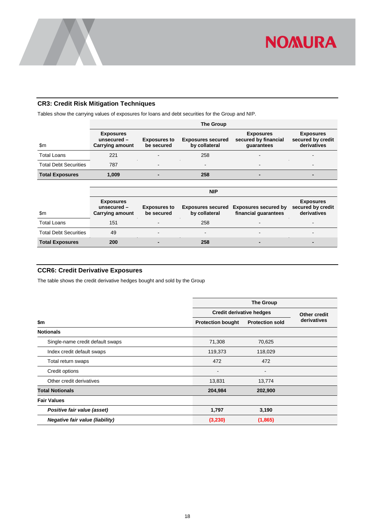

#### <span id="page-20-0"></span>**CR3: Credit Risk Mitigation Techniques**

Tables show the carrying values of exposures for loans and debt securities for the Group and NIP.

|                              | <b>The Group</b>                                            |                                   |                                           |                                                        |                                                      |  |  |  |  |  |  |
|------------------------------|-------------------------------------------------------------|-----------------------------------|-------------------------------------------|--------------------------------------------------------|------------------------------------------------------|--|--|--|--|--|--|
| $\mathsf{Sm}$                | <b>Exposures</b><br>unsecured $-$<br><b>Carrying amount</b> | <b>Exposures to</b><br>be secured | <b>Exposures secured</b><br>by collateral | <b>Exposures</b><br>secured by financial<br>quarantees | <b>Exposures</b><br>secured by credit<br>derivatives |  |  |  |  |  |  |
| <b>Total Loans</b>           | 221                                                         | -                                 | 258                                       | $\overline{\phantom{a}}$                               | -                                                    |  |  |  |  |  |  |
| <b>Total Debt Securities</b> | 787                                                         | $\blacksquare$                    |                                           | $\,$                                                   | $\overline{\phantom{0}}$                             |  |  |  |  |  |  |
| <b>Total Exposures</b>       | 1.009                                                       | -                                 | 258                                       | $\overline{\phantom{0}}$                               | $\overline{\phantom{0}}$                             |  |  |  |  |  |  |

|                              | <b>NIP</b>                                                  |                                   |                                           |                                                     |                                                      |  |  |  |  |  |  |
|------------------------------|-------------------------------------------------------------|-----------------------------------|-------------------------------------------|-----------------------------------------------------|------------------------------------------------------|--|--|--|--|--|--|
| \$m                          | <b>Exposures</b><br>unsecured $-$<br><b>Carrying amount</b> | <b>Exposures to</b><br>be secured | <b>Exposures secured</b><br>by collateral | <b>Exposures secured by</b><br>financial quarantees | <b>Exposures</b><br>secured by credit<br>derivatives |  |  |  |  |  |  |
| <b>Total Loans</b>           | 151                                                         | $\blacksquare$                    | 258                                       | $\blacksquare$                                      | -                                                    |  |  |  |  |  |  |
| <b>Total Debt Securities</b> | 49                                                          | $\blacksquare$                    | -                                         | $\blacksquare$                                      | -                                                    |  |  |  |  |  |  |
| <b>Total Exposures</b>       | 200                                                         |                                   | 258                                       | -                                                   |                                                      |  |  |  |  |  |  |

#### <span id="page-20-1"></span>**CCR6: Credit Derivative Exposures**

The table shows the credit derivative hedges bought and sold by the Group

|                                        | <b>The Group</b>                |                        |             |  |  |  |  |  |  |
|----------------------------------------|---------------------------------|------------------------|-------------|--|--|--|--|--|--|
|                                        | <b>Credit derivative hedges</b> | Other credit           |             |  |  |  |  |  |  |
| \$m                                    | <b>Protection bought</b>        | <b>Protection sold</b> | derivatives |  |  |  |  |  |  |
| <b>Notionals</b>                       |                                 |                        |             |  |  |  |  |  |  |
| Single-name credit default swaps       | 71,308                          | 70,625                 |             |  |  |  |  |  |  |
| Index credit default swaps             | 119,373                         | 118,029                |             |  |  |  |  |  |  |
| Total return swaps                     | 472                             | 472                    |             |  |  |  |  |  |  |
| Credit options                         |                                 |                        |             |  |  |  |  |  |  |
| Other credit derivatives               | 13,831                          | 13,774                 |             |  |  |  |  |  |  |
| <b>Total Notionals</b>                 | 204,984                         | 202,900                |             |  |  |  |  |  |  |
| <b>Fair Values</b>                     |                                 |                        |             |  |  |  |  |  |  |
| Positive fair value (asset)            | 1,797                           | 3,190                  |             |  |  |  |  |  |  |
| <b>Negative fair value (liability)</b> | (3,230)                         | (1,865)                |             |  |  |  |  |  |  |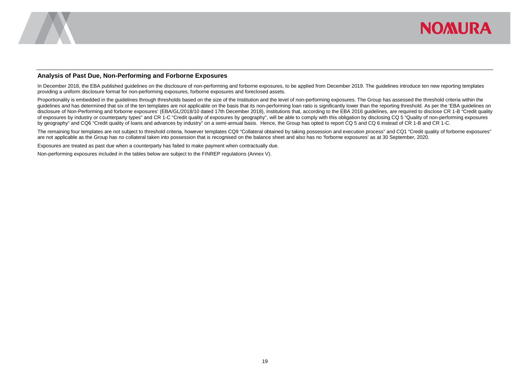

#### **Analysis of Past Due, Non-Performing and Forborne Exposures**

In December 2018, the EBA published quidelines on the disclosure of non-performing and forborne exposures, to be applied from December 2019. The quidelines introduce ten new reporting templates providing a uniform disclosure format for non-performing exposures, forborne exposures and foreclosed assets.

Proportionality is embedded in the guidelines through thresholds based on the size of the Institution and the level of non-performing exposures. The Group has assessed the threshold criteria within the guidelines and has determined that six of the ten templates are not applicable on the basis that its non-performing loan ratio is significantly lower than the reporting threshold. As per the 'EBA quidelines on disclosure of Non-Performing and forborne exposures' (EBA/GL/2018/10 dated 17th December 2018), Institutions that, according to the EBA 2016 guidelines, are required to disclose CR 1-B "Credit quality of exposures by industry or counterparty types" and CR 1-C "Credit quality of exposures by geography", will be able to comply with this obligation by disclosing CQ 5 "Quality of non-performing exposures by geography" and CQ6 "Credit quality of loans and advances by industry" on a semi-annual basis. Hence, the Group has opted to report CQ 5 and CQ 6 instead of CR 1-B and CR 1-C.

The remaining four templates are not subject to threshold criteria, however templates CQ9 "Collateral obtained by taking possession and execution process" and CQ1 "Credit quality of forborne exposures" are not applicable as the Group has no collateral taken into possession that is recognised on the balance sheet and also has no 'forborne exposures' as at 30 September, 2020.

Exposures are treated as past due when a counterparty has failed to make payment when contractually due.

<span id="page-21-0"></span>Non-performing exposures included in the tables below are subject to the FINREP regulations (Annex V).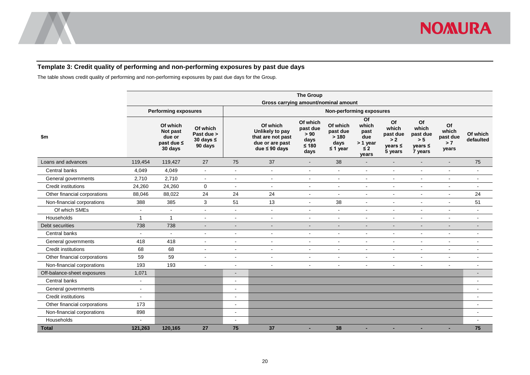

#### **Template 3: Credit quality of performing and non-performing exposures by past due days**

The table shows credit quality of performing and non-performing exposures by past due days for the Group.

<span id="page-22-0"></span>

|                              | <b>The Group</b><br>Gross carrying amount/nominal amount |                                                              |                                                     |                          |                                                                                           |                                                         |                                                       |                                                             |                                                           |                                                           |                                         |                       |  |
|------------------------------|----------------------------------------------------------|--------------------------------------------------------------|-----------------------------------------------------|--------------------------|-------------------------------------------------------------------------------------------|---------------------------------------------------------|-------------------------------------------------------|-------------------------------------------------------------|-----------------------------------------------------------|-----------------------------------------------------------|-----------------------------------------|-----------------------|--|
|                              |                                                          | <b>Performing exposures</b>                                  |                                                     | Non-performing exposures |                                                                                           |                                                         |                                                       |                                                             |                                                           |                                                           |                                         |                       |  |
| \$m                          |                                                          | Of which<br>Not past<br>due or<br>past due $\leq$<br>30 days | Of which<br>Past due ><br>30 days $\leq$<br>90 days |                          | Of which<br>Unlikely to pay<br>that are not past<br>due or are past<br>due $\leq 90$ days | Of which<br>past due<br>> 90<br>days<br>$≤ 180$<br>days | Of which<br>past due<br>>180<br>days<br>$\leq$ 1 year | Of<br>which<br>past<br>due<br>> 1 year<br>$\leq 2$<br>years | Of<br>which<br>past due<br>> 2<br>$years \leq$<br>5 years | Of<br>which<br>past due<br>> 5<br>$years \leq$<br>7 years | Of<br>which<br>past due<br>> 7<br>years | Of which<br>defaulted |  |
| Loans and advances           | 119,454                                                  | 119,427                                                      | 27                                                  | 75                       | 37                                                                                        | $\blacksquare$                                          | 38                                                    |                                                             | $\blacksquare$                                            | $\overline{\phantom{a}}$                                  |                                         | 75                    |  |
| Central banks                | 4,049                                                    | 4,049                                                        | $\sim$                                              | $\blacksquare$           | $\blacksquare$                                                                            | $\blacksquare$                                          | $\blacksquare$                                        | $\sim$                                                      | $\blacksquare$                                            | $\blacksquare$                                            |                                         | $\blacksquare$        |  |
| General governments          | 2,710                                                    | 2,710                                                        | $\sim$                                              | $\blacksquare$           | $\sim$                                                                                    | $\mathbf{r}$                                            | $\mathbf{r}$                                          | $\mathbf{r}$                                                | $\sim$                                                    | $\sim$                                                    | $\sim$                                  | $\sim$                |  |
| <b>Credit institutions</b>   | 24,260                                                   | 24,260                                                       | $\mathbf 0$                                         | $\blacksquare$           | $\blacksquare$                                                                            | $\blacksquare$                                          | $\blacksquare$                                        | $\blacksquare$                                              | $\blacksquare$                                            | $\blacksquare$                                            | $\sim$                                  | $\blacksquare$        |  |
| Other financial corporations | 88,046                                                   | 88,022                                                       | 24                                                  | 24                       | 24                                                                                        | $\blacksquare$                                          | $\sim$                                                | $\blacksquare$                                              | $\blacksquare$                                            | $\sim$                                                    |                                         | 24                    |  |
| Non-financial corporations   | 388                                                      | 385                                                          | 3                                                   | 51                       | 13                                                                                        | $\blacksquare$                                          | 38                                                    | $\blacksquare$                                              | $\blacksquare$                                            | $\blacksquare$                                            |                                         | 51                    |  |
| Of which SMEs                | $\blacksquare$                                           | $\mathbf{r}$                                                 | $\sim$                                              | $\blacksquare$           | $\sim$                                                                                    | $\blacksquare$                                          | $\bar{\phantom{a}}$                                   | $\mathbf{r}$                                                | $\sim$                                                    | $\overline{a}$                                            | $\sim$                                  | $\mathbf{r}$          |  |
| Households                   | $\overline{1}$                                           | $\overline{1}$                                               |                                                     | $\sim$                   | ÷.                                                                                        | $\overline{a}$                                          | $\overline{a}$                                        | ÷.                                                          | $\overline{a}$                                            | $\overline{a}$                                            |                                         | $\overline{a}$        |  |
| Debt securities              | 738                                                      | 738                                                          | $\sim$                                              | $\overline{\phantom{a}}$ | $\overline{\phantom{a}}$                                                                  | $\overline{\phantom{a}}$                                | $\overline{\phantom{a}}$                              | $\overline{\phantom{a}}$                                    | $\blacksquare$                                            | $\blacksquare$                                            | $\overline{\phantom{a}}$                | $\blacksquare$        |  |
| Central banks                | $\sim$                                                   | $\sim$                                                       | $\sim$                                              | $\blacksquare$           | $\blacksquare$                                                                            | $\sim$                                                  | $\mathbf{r}$                                          | $\sim$                                                      | $\blacksquare$                                            | $\sim$                                                    | $\sim$                                  | $\blacksquare$        |  |
| General governments          | 418                                                      | 418                                                          | $\overline{\phantom{a}}$                            | $\blacksquare$           | $\blacksquare$                                                                            | $\blacksquare$                                          | $\blacksquare$                                        | $\blacksquare$                                              | $\blacksquare$                                            | $\sim$                                                    | $\sim$                                  | $\blacksquare$        |  |
| <b>Credit institutions</b>   | 68                                                       | 68                                                           | $\sim$                                              | $\blacksquare$           | $\blacksquare$                                                                            | $\blacksquare$                                          | $\blacksquare$                                        | $\blacksquare$                                              | $\blacksquare$                                            | $\blacksquare$                                            | $\sim$                                  | $\blacksquare$        |  |
| Other financial corporations | 59                                                       | 59                                                           |                                                     | $\blacksquare$           | $\overline{a}$                                                                            | ä,                                                      | $\ddot{\phantom{a}}$                                  | $\blacksquare$                                              | $\blacksquare$                                            | $\blacksquare$                                            |                                         | $\overline{a}$        |  |
| Non-financial corporations   | 193                                                      | 193                                                          |                                                     | $\blacksquare$           | L,                                                                                        | $\mathbf{r}$                                            | $\blacksquare$                                        | $\blacksquare$                                              | $\blacksquare$                                            | $\sim$                                                    | $\sim$                                  | $\blacksquare$        |  |
| Off-balance-sheet exposures  | 1,071                                                    |                                                              |                                                     |                          |                                                                                           |                                                         |                                                       |                                                             |                                                           |                                                           |                                         | $\blacksquare$        |  |
| Central banks                | $\blacksquare$                                           |                                                              |                                                     | $\blacksquare$           |                                                                                           |                                                         |                                                       |                                                             |                                                           |                                                           |                                         | $\blacksquare$        |  |
| General governments          | $\blacksquare$                                           |                                                              |                                                     | $\blacksquare$           |                                                                                           |                                                         |                                                       |                                                             |                                                           |                                                           |                                         | $\blacksquare$        |  |
| <b>Credit institutions</b>   | $\blacksquare$                                           |                                                              |                                                     | $\blacksquare$           |                                                                                           |                                                         |                                                       |                                                             |                                                           |                                                           |                                         | ÷                     |  |
| Other financial corporations | 173                                                      |                                                              |                                                     | $\overline{\phantom{a}}$ |                                                                                           |                                                         |                                                       |                                                             |                                                           |                                                           |                                         |                       |  |
| Non-financial corporations   | 898                                                      |                                                              |                                                     | $\blacksquare$           |                                                                                           |                                                         |                                                       |                                                             |                                                           |                                                           |                                         |                       |  |
| Households                   |                                                          |                                                              |                                                     | $\sim$                   |                                                                                           |                                                         |                                                       |                                                             |                                                           |                                                           |                                         |                       |  |
| <b>Total</b>                 | 121,263                                                  | 120,165                                                      | 27                                                  | 75                       | 37                                                                                        | ٠                                                       | 38                                                    | ٠                                                           | ٠                                                         | ٠                                                         | ٠                                       | 75                    |  |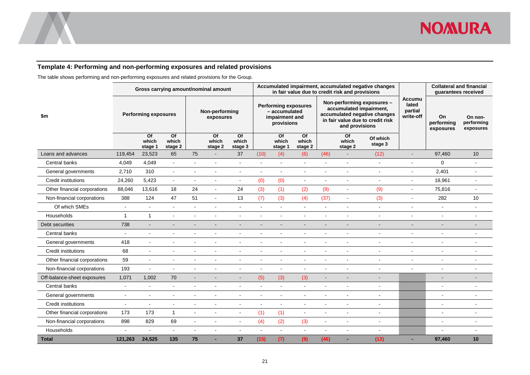

#### **Template 4: Performing and non-performing exposures and related provisions**

The table shows performing and non-performing exposures and related provisions for the Group.

<span id="page-23-0"></span>

|                              | Gross carrying amount/nominal amount |                                     |                                     |                             |                                     |                                                                              | Accumulated impairment, accumulated negative changes<br>in fair value due to credit risk and provisions |                        |                                                                                                                                             |                |                        |                                                |                               | <b>Collateral and financial</b><br>quarantees received |    |
|------------------------------|--------------------------------------|-------------------------------------|-------------------------------------|-----------------------------|-------------------------------------|------------------------------------------------------------------------------|---------------------------------------------------------------------------------------------------------|------------------------|---------------------------------------------------------------------------------------------------------------------------------------------|----------------|------------------------|------------------------------------------------|-------------------------------|--------------------------------------------------------|----|
| \$m                          | <b>Performing exposures</b>          |                                     |                                     | Non-performing<br>exposures |                                     | <b>Performing exposures</b><br>- accumulated<br>impairment and<br>provisions |                                                                                                         |                        | Non-performing exposures -<br>accumulated impairment,<br>accumulated negative changes<br>in fair value due to credit risk<br>and provisions |                |                        | <b>Accumu</b><br>lated<br>partial<br>write-off | On<br>performing<br>exposures | On non-<br>performing<br>exposures                     |    |
|                              |                                      | $\overline{of}$<br>which<br>stage 1 | $\overline{of}$<br>which<br>stage 2 |                             | $\overline{Of}$<br>which<br>stage 2 | $\overline{of}$<br>which<br>stage 3                                          |                                                                                                         | Of<br>which<br>stage 1 | $\overline{of}$<br>which<br>stage 2                                                                                                         |                | Of<br>which<br>stage 2 | Of which<br>stage 3                            |                               |                                                        |    |
| Loans and advances           | 119,454                              | 23,523                              | 65                                  | 75                          |                                     | 37                                                                           | (10)                                                                                                    | (4)                    | (6)                                                                                                                                         | (46)           |                        | (12)                                           | $\blacksquare$                | 97,460                                                 | 10 |
| Central banks                | 4,049                                | 4,049                               | $\sim$                              |                             |                                     |                                                                              | ÷.                                                                                                      | $\overline{a}$         |                                                                                                                                             |                |                        | $\sim$                                         | ä,                            | 0                                                      |    |
| General governments          | 2,710                                | 310                                 | $\sim$                              |                             |                                     | $\blacksquare$                                                               |                                                                                                         | $\blacksquare$         |                                                                                                                                             |                |                        |                                                | $\blacksquare$                | 2,401                                                  |    |
| Credit institutions          | 24,260                               | 5,423                               | $\blacksquare$                      |                             |                                     | $\blacksquare$                                                               | (0)                                                                                                     | (0)                    |                                                                                                                                             |                |                        |                                                | L,                            | 18,961                                                 |    |
| Other financial corporations | 88,046                               | 13,616                              | 18                                  | 24                          | $\mathbf{r}$                        | 24                                                                           | (3)                                                                                                     | (1)                    | (2)                                                                                                                                         | (9)            | $\sim$                 | (9)                                            | ä,                            | 75,816                                                 |    |
| Non-financial corporations   | 388                                  | 124                                 | 47                                  | 51                          | $\blacksquare$                      | 13                                                                           | (7)                                                                                                     | (3)                    | (4)                                                                                                                                         | (37)           | $\sim$                 | (3)                                            | $\overline{a}$                | 282                                                    | 10 |
| Of which SMEs                | ä,                                   | L,                                  | ÷,                                  | $\blacksquare$              | $\sim$                              | $\sim$                                                                       | $\blacksquare$                                                                                          | $\mathbf{r}$           |                                                                                                                                             | $\sim$         |                        | $\sim$                                         | $\blacksquare$                | $\tilde{\phantom{a}}$                                  |    |
| Households                   | $\overline{1}$                       | $\mathbf{1}$                        | $\blacksquare$                      |                             |                                     |                                                                              |                                                                                                         |                        |                                                                                                                                             |                | $\sim$                 |                                                | L,                            | $\blacksquare$                                         |    |
| Debt securities              | 738                                  | $\blacksquare$                      | L,                                  |                             |                                     |                                                                              |                                                                                                         |                        |                                                                                                                                             |                |                        |                                                | L,                            |                                                        |    |
| Central banks                | $\overline{a}$                       | $\blacksquare$                      | $\blacksquare$                      |                             |                                     | $\sim$                                                                       |                                                                                                         |                        |                                                                                                                                             |                |                        |                                                | L,                            |                                                        |    |
| General governments          | 418                                  | L,                                  |                                     |                             |                                     |                                                                              |                                                                                                         |                        |                                                                                                                                             |                |                        |                                                |                               |                                                        |    |
| <b>Credit institutions</b>   | 68                                   | $\blacksquare$                      | $\sim$                              | $\overline{a}$              | $\overline{a}$                      | $\sim$                                                                       | $\overline{a}$                                                                                          | $\overline{a}$         |                                                                                                                                             | $\overline{a}$ | $\sim$                 |                                                | $\overline{a}$                | $\sim$                                                 |    |
| Other financial corporations | 59                                   | $\overline{a}$                      | $\overline{a}$                      |                             |                                     |                                                                              |                                                                                                         |                        |                                                                                                                                             |                |                        |                                                | $\overline{a}$                |                                                        |    |
| Non-financial corporations   | 193                                  | L,                                  | $\sim$                              |                             |                                     | $\sim$                                                                       |                                                                                                         | $\overline{a}$         |                                                                                                                                             |                |                        |                                                | $\blacksquare$                |                                                        |    |
| Off-balance-sheet exposures  | 1,071                                | 1,002                               | 70                                  |                             |                                     |                                                                              | (5)                                                                                                     | (3)                    | (3)                                                                                                                                         |                |                        |                                                |                               |                                                        |    |
| Central banks                | $\blacksquare$                       | $\overline{a}$                      | $\sim$                              | $\blacksquare$              | $\blacksquare$                      | $\sim$                                                                       | $\overline{a}$                                                                                          | $\overline{a}$         | $\sim$                                                                                                                                      |                | $\sim$                 | $\overline{\phantom{a}}$                       |                               | $\blacksquare$                                         |    |
| General governments          | $\blacksquare$                       | $\blacksquare$                      | $\blacksquare$                      | $\blacksquare$              | $\blacksquare$                      | $\sim$                                                                       | $\blacksquare$                                                                                          | $\blacksquare$         | $\blacksquare$                                                                                                                              | $\blacksquare$ |                        | $\blacksquare$                                 |                               | ۰                                                      |    |
| Credit institutions          | $\blacksquare$                       | $\blacksquare$                      | $\blacksquare$                      | $\sim$                      |                                     |                                                                              | $\blacksquare$                                                                                          | $\mathbf{r}$           | $\sim$                                                                                                                                      |                |                        | $\overline{\phantom{a}}$                       |                               | $\blacksquare$                                         |    |
| Other financial corporations | 173                                  | 173                                 | $\mathbf{1}$                        | $\blacksquare$              | $\blacksquare$                      | $\blacksquare$                                                               | (1)                                                                                                     | (1)                    | $\blacksquare$                                                                                                                              | $\blacksquare$ | $\sim$                 | $\blacksquare$                                 |                               | ä,                                                     |    |
| Non-financial corporations   | 898                                  | 829                                 | 69                                  | $\blacksquare$              | $\overline{\phantom{a}}$            | $\sim$                                                                       | (4)                                                                                                     | (2)                    | (3)                                                                                                                                         | $\sim$         |                        |                                                |                               | ÷                                                      |    |
| Households                   |                                      | $\overline{\phantom{a}}$            | $\sim$                              |                             | $\blacksquare$                      | $\blacksquare$                                                               | $\overline{a}$                                                                                          | $\blacksquare$         | $\sim$                                                                                                                                      |                |                        |                                                |                               |                                                        |    |
| <b>Total</b>                 | 121,263                              | 24,525                              | 135                                 | 75                          |                                     | 37                                                                           | (15)                                                                                                    | (7)                    | (9)                                                                                                                                         | (46)           |                        | (12)                                           |                               | 97,460                                                 | 10 |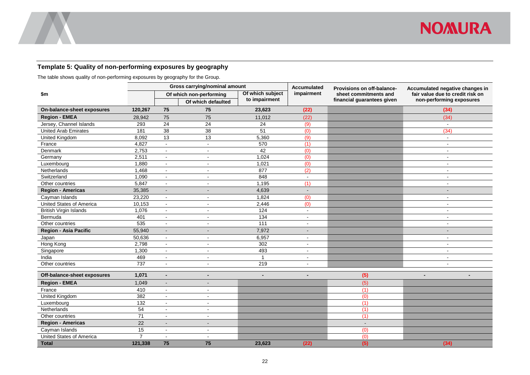

#### **Template 5: Quality of non-performing exposures by geography**

The table shows quality of non-performing exposures by geography for the Group.

<span id="page-24-0"></span>

|                               |                 |                 | Gross carrying/nominal amount |                  | <b>Accumulated</b> | Provisions on off-balance- | Accumulated negative changes in  |
|-------------------------------|-----------------|-----------------|-------------------------------|------------------|--------------------|----------------------------|----------------------------------|
| \$m                           |                 |                 | Of which non-performing       | Of which subject | impairment         | sheet commitments and      | fair value due to credit risk on |
|                               |                 |                 | Of which defaulted            | to impairment    |                    | financial guarantees given | non-performing exposures         |
| On-balance-sheet exposures    | 120,267         | 75              | 75                            | 23,623           | (22)               |                            | (34)                             |
| <b>Region - EMEA</b>          | 28,942          | 75              | 75                            | 11,012           | (22)               |                            | (34)                             |
| Jersey, Channel Islands       | 293             | $\overline{24}$ | 24                            | 24               | (9)                |                            | $\sim$                           |
| <b>United Arab Emirates</b>   | 181             | 38              | 38                            | 51               | (0)                |                            | (34)                             |
| <b>United Kingdom</b>         | 8,092           | 13              | 13                            | 5,360            | (9)                |                            | $\sim$                           |
| France                        | 4,827           | $\sim$          | $\blacksquare$                | 570              | (1)                |                            | $\blacksquare$                   |
| Denmark                       | 2,753           | $\sim$          | $\blacksquare$                | 42               | (0)                |                            | $\sim$                           |
| Germany                       | 2,511           | $\sim$          | $\sim$                        | 1,024            | $\overline{(0)}$   |                            | $\blacksquare$                   |
| Luxembourg                    | 1,880           | $\blacksquare$  | $\blacksquare$                | 1,021            | (0)                |                            | $\sim$                           |
| Netherlands                   | 1,468           | $\sim$          | $\sim$                        | 877              | $\overline{(2)}$   |                            | $\sim$                           |
| Switzerland                   | 1,090           | $\mathbf{r}$    | $\blacksquare$                | 848              | $\omega$           |                            | $\sim$                           |
| Other countries               | 5,847           | $\blacksquare$  | $\blacksquare$                | 1,195            | (1)                |                            | $\blacksquare$                   |
| <b>Region - Americas</b>      | 35,385          | $\blacksquare$  | $\overline{\phantom{a}}$      | 4,639            | $\blacksquare$     |                            | $\blacksquare$                   |
| Cayman Islands                | 23,220          | $\blacksquare$  | $\mathbf{r}$                  | 1,824            | (0)                |                            | $\sim$                           |
| United States of America      | 10,153          | $\blacksquare$  | $\blacksquare$                | 2,446            | (0)                |                            | $\sim$                           |
| <b>British Virgin Islands</b> | 1,076           | $\mathbf{r}$    | $\sim$                        | 124              | $\sim$             |                            | $\sim$                           |
| Bermuda                       | 401             | $\sim$          | $\sim$                        | $\frac{1}{34}$   | $\sim$             |                            | $\sim$                           |
| Other countries               | 535             | $\blacksquare$  | $\blacksquare$                | 111              | $\blacksquare$     |                            | $\blacksquare$                   |
| <b>Region - Asia Pacific</b>  | 55,940          | ÷,              |                               | 7,972            | $\sim$             |                            | $\blacksquare$                   |
| Japan                         | 50,636          | $\sim$          | $\sim$                        | 6,957            | $\blacksquare$     |                            | $\sim$                           |
| Hong Kong                     | 2,798           | $\mathbf{r}$    | $\mathbf{r}$                  | 302              | $\sim$             |                            | $\sim$                           |
| Singapore                     | 1,300           | $\blacksquare$  | $\blacksquare$                | 493              | $\blacksquare$     |                            | $\blacksquare$                   |
| India                         | 469             | $\sim$          | $\blacksquare$                | $\mathbf{1}$     | $\sim$             |                            | $\blacksquare$                   |
| Other countries               | 737             | $\blacksquare$  | $\blacksquare$                | 219              | $\blacksquare$     |                            | $\blacksquare$                   |
| Off-balance-sheet exposures   | 1,071           | $\blacksquare$  | $\blacksquare$                | $\blacksquare$   | $\blacksquare$     | (5)                        | $\blacksquare$<br>$\blacksquare$ |
| <b>Region - EMEA</b>          | 1,049           | ÷,              |                               |                  |                    | (5)                        |                                  |
| France                        | 410             | $\mathbf{r}$    | $\sim$                        |                  |                    | (1)                        |                                  |
| <b>United Kingdom</b>         | 382             | $\blacksquare$  | $\sim$                        |                  |                    | (0)                        |                                  |
| Luxembourg                    | 132             | $\blacksquare$  | $\mathbf{r}$                  |                  |                    | (1)                        |                                  |
| Netherlands                   | 54              | $\overline{a}$  | $\mathbf{r}$                  |                  |                    | (1)                        |                                  |
| Other countries               | $\overline{71}$ | $\mathbf{r}$    | $\sim$                        |                  |                    | (1)                        |                                  |
| Region - Americas             | 22              |                 |                               |                  |                    | $\overline{a}$             |                                  |
| Cayman Islands                | 15              | $\mathbf{r}$    | $\sim$                        |                  |                    | (0)                        |                                  |
| United States of America      | $\overline{7}$  | ä,              |                               |                  |                    | (0)                        |                                  |
| <b>Total</b>                  | 121,338         | 75              | 75                            | 23,623           | (22)               | (5)                        | (34)                             |